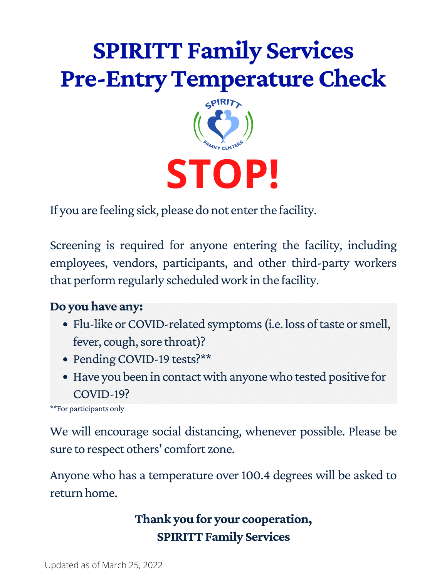

If you are feeling sick, please do not enter the facility.

Screening is required for anyone entering the facility, including employees, vendors, participants, and other third-party workers that perform regularly scheduledwork in the facility.

#### **Do youhave any:**

- Flu-like or COVID-related symptoms (i.e. loss of taste or smell, fever, cough, sore throat)?
- Pending COVID-19 tests?\*\*
- Have you been in contactwith anyonewho tested positive for COVID-19?

\*\*For participants only

We will encourage social distancing, whenever possible. Please be sure to respect others' comfort zone.

Anyone who has a temperature over 100.4 degrees will be asked to return home.

> **Thank you for your cooperation, SPIRITT Family Services**